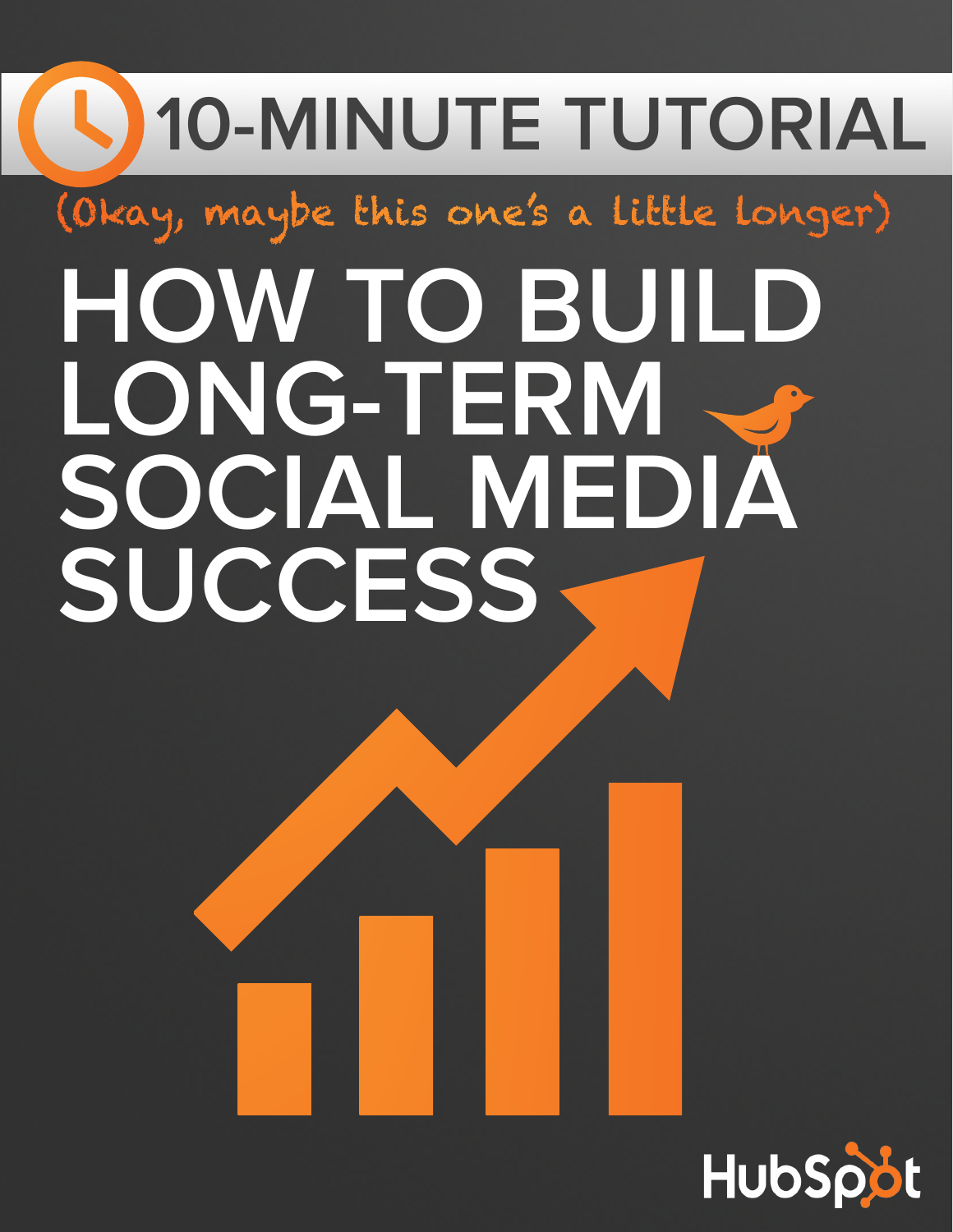# **10-MINUTE TUTORIAL HOW TO BUILD LONG-TERM SOCIAL MEDIA SUCCESS** (Okay, maybe this one's a little longer)

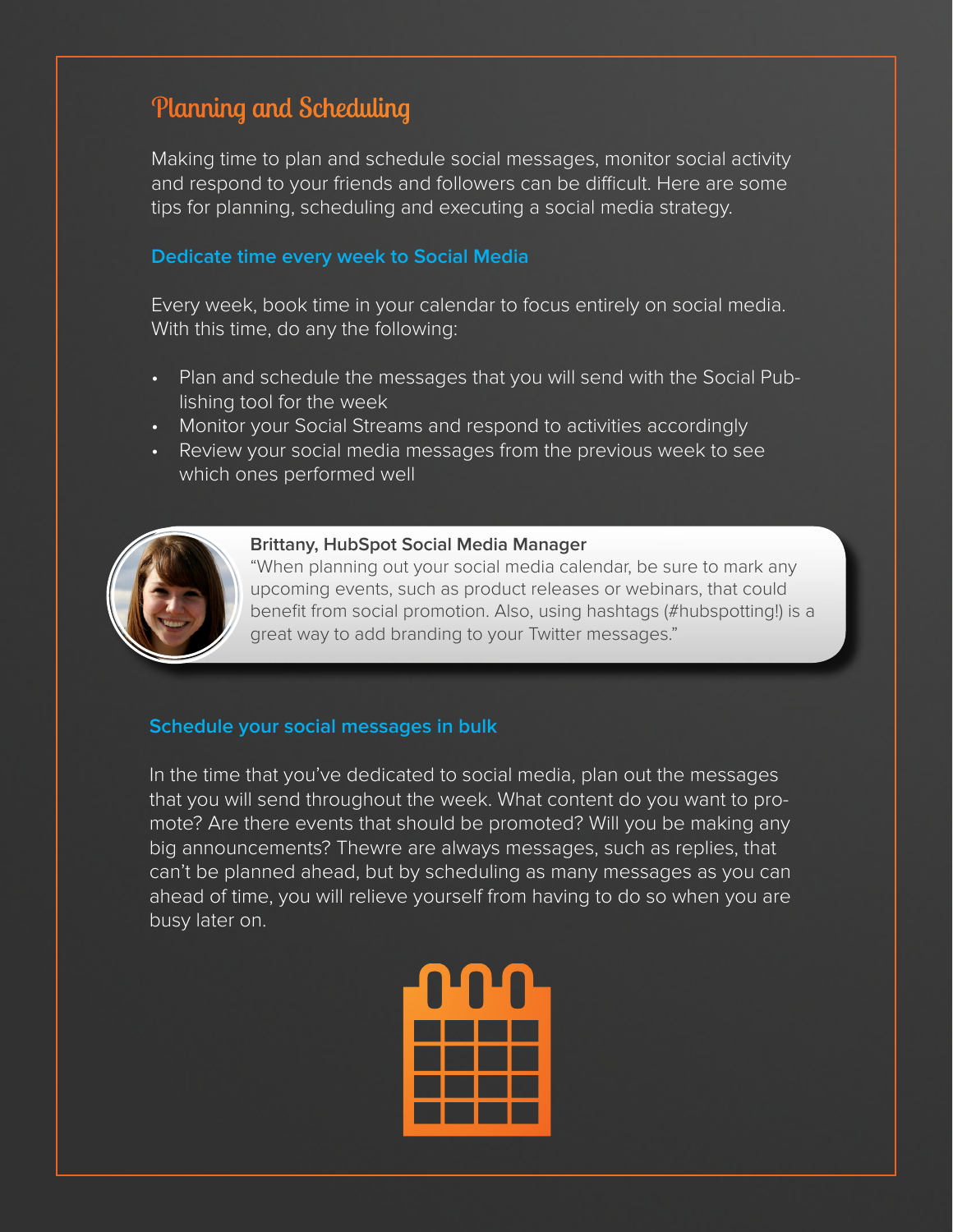# Planning and Scheduling

Making time to plan and schedule social messages, monitor social activity and respond to your friends and followers can be difficult. Here are some tips for planning, scheduling and executing a social media strategy.

#### **Dedicate time every week to Social Media**

Every week, book time in your calendar to focus entirely on social media. With this time, do any the following:

- Plan and schedule the messages that you will send with the Social Publishing tool for the week
- Monitor your Social Streams and respond to activities accordingly
- Review your social media messages from the previous week to see which ones performed well



#### **Brittany, HubSpot Social Media Manager**

"When planning out your social media calendar, be sure to mark any upcoming events, such as product releases or webinars, that could benefit from social promotion. Also, using hashtags (#hubspotting!) is a great way to add branding to your Twitter messages."

#### **Schedule your social messages in bulk**

In the time that you've dedicated to social media, plan out the messages that you will send throughout the week. What content do you want to promote? Are there events that should be promoted? Will you be making any big announcements? Thewre are always messages, such as replies, that can't be planned ahead, but by scheduling as many messages as you can ahead of time, you will relieve yourself from having to do so when you are busy later on.

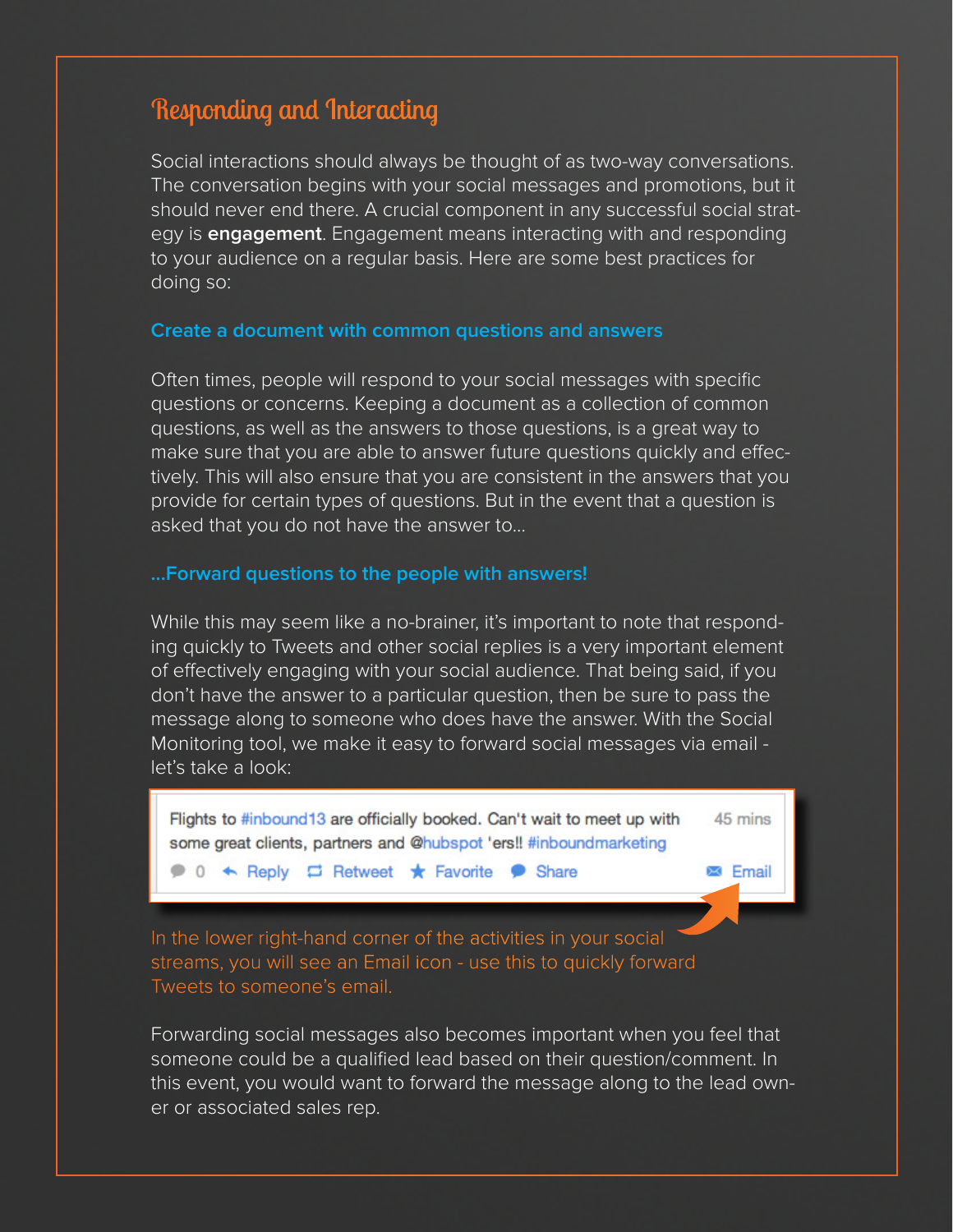# Responding and Interacting

Social interactions should always be thought of as two-way conversations. The conversation begins with your social messages and promotions, but it should never end there. A crucial component in any successful social strategy is **engagement**. Engagement means interacting with and responding to your audience on a regular basis. Here are some best practices for doing so:

#### **Create a document with common questions and answers**

Often times, people will respond to your social messages with specific questions or concerns. Keeping a document as a collection of common questions, as well as the answers to those questions, is a great way to make sure that you are able to answer future questions quickly and effectively. This will also ensure that you are consistent in the answers that you provide for certain types of questions. But in the event that a question is asked that you do not have the answer to...

#### **...Forward questions to the people with answers!**

While this may seem like a no-brainer, it's important to note that responding quickly to Tweets and other social replies is a very important element of effectively engaging with your social audience. That being said, if you don't have the answer to a particular question, then be sure to pass the message along to someone who does have the answer. With the Social Monitoring tool, we make it easy to forward social messages via email let's take a look:

Flights to #inbound13 are officially booked. Can't wait to meet up with 45 mins some great clients, partners and @hubspot 'ers!! #inboundmarketing

● 0 ← Reply □ Retweet ★ Favorite ● Share

**Email** 

In the lower right-hand corner of the activities in your social streams, you will see an Email icon - use this to quickly forward Tweets to someone's email.

Forwarding social messages also becomes important when you feel that someone could be a qualified lead based on their question/comment. In this event, you would want to forward the message along to the lead owner or associated sales rep.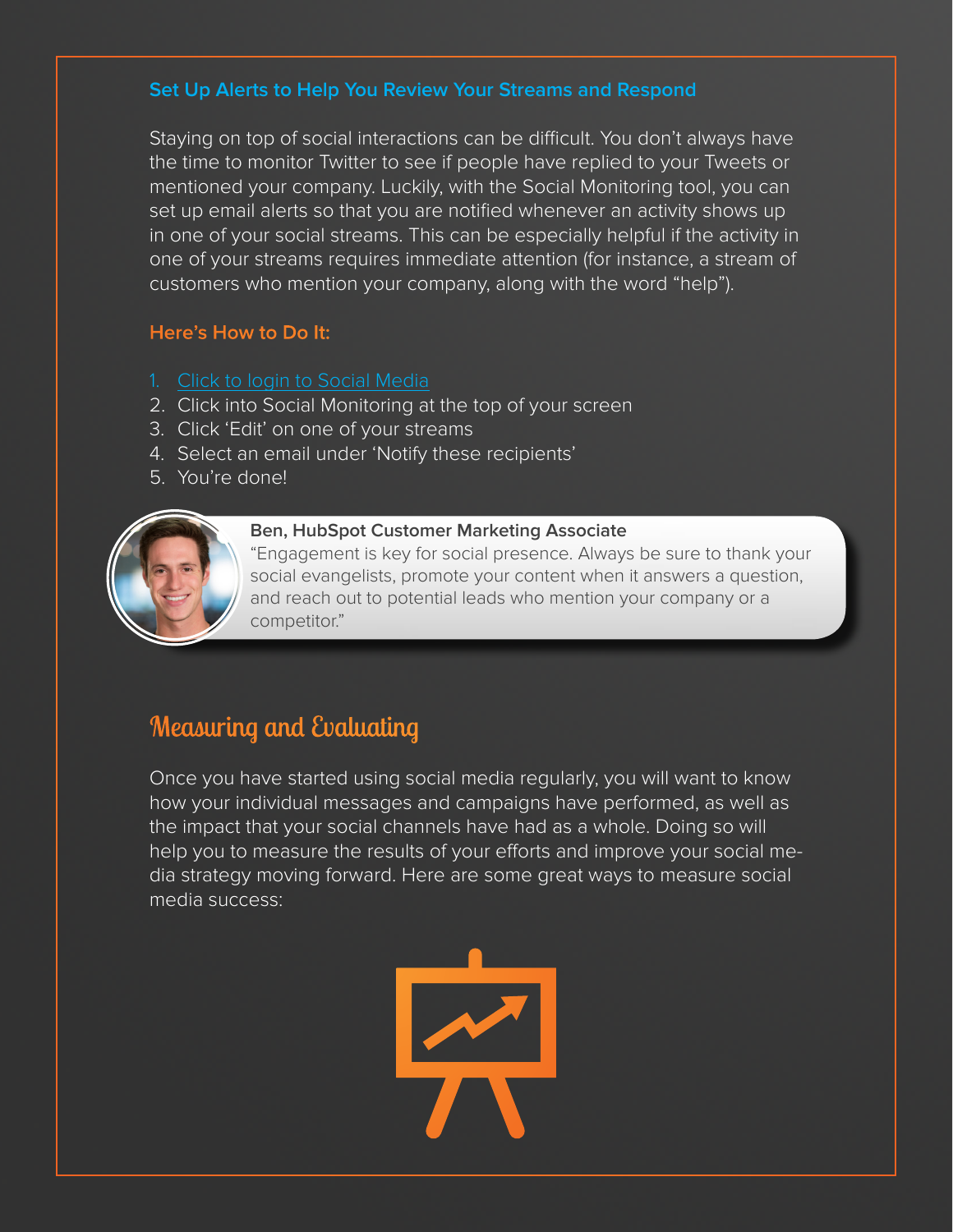## **Set Up Alerts to Help You Review Your Streams and Respond**

Staying on top of social interactions can be difficult. You don't always have the time to monitor Twitter to see if people have replied to your Tweets or mentioned your company. Luckily, with the Social Monitoring tool, you can set up email alerts so that you are notified whenever an activity shows up in one of your social streams. This can be especially helpful if the activity in one of your streams requires immediate attention (for instance, a stream of customers who mention your company, along with the word "help").

## **Here's How to Do It:**

- 1. [Click to login to Social Media](https://app.hubspot.com/l/social)
- 2. Click into Social Monitoring at the top of your screen
- 3. Click 'Edit' on one of your streams
- 4. Select an email under 'Notify these recipients'
- 5. You're done!



#### **Ben, HubSpot Customer Marketing Associate**

"Engagement is key for social presence. Always be sure to thank your social evangelists, promote your content when it answers a question, and reach out to potential leads who mention your company or a competitor."

# Measuring and Evaluating

Once you have started using social media regularly, you will want to know how your individual messages and campaigns have performed, as well as the impact that your social channels have had as a whole. Doing so will help you to measure the results of your efforts and improve your social media strategy moving forward. Here are some great ways to measure social media success:

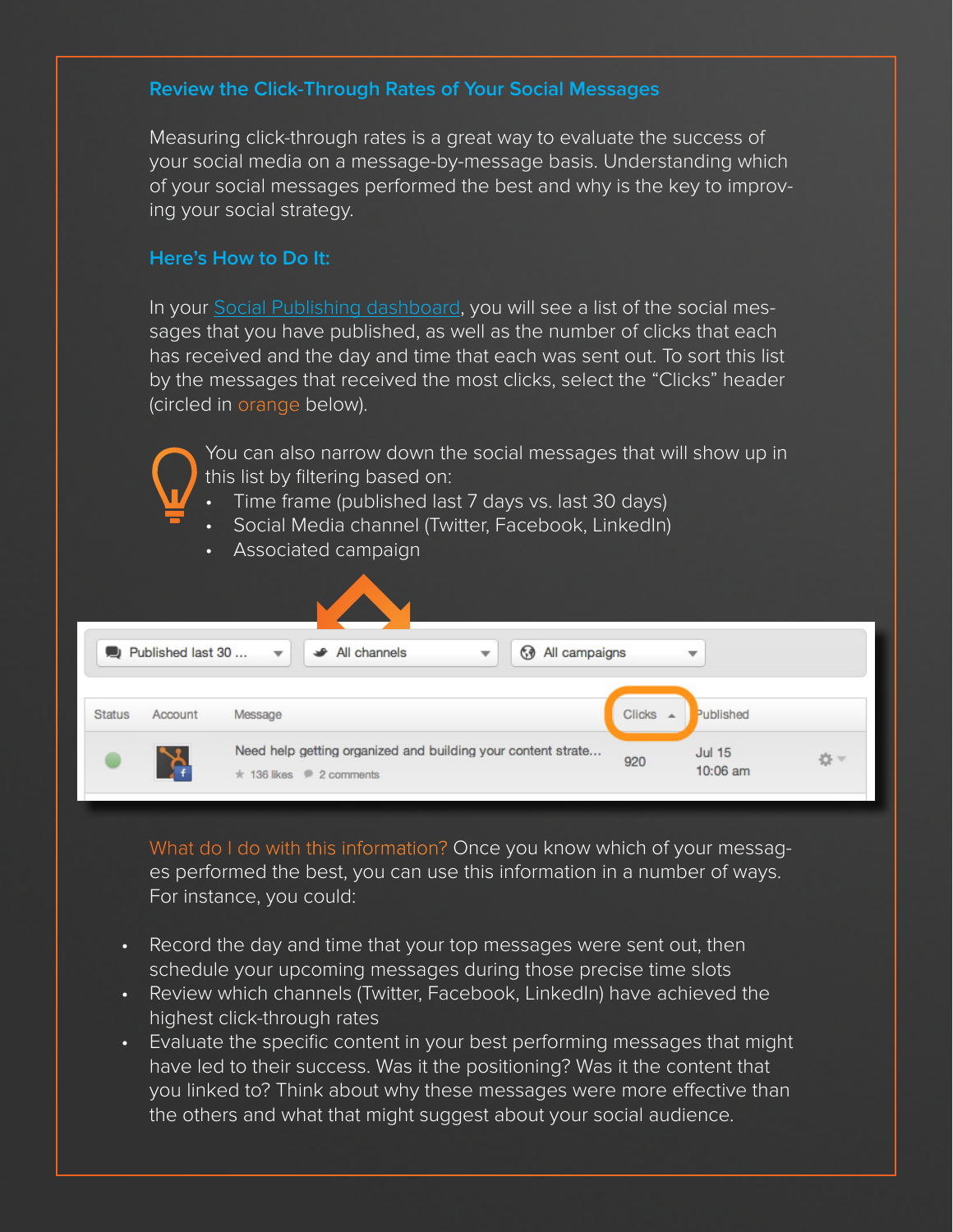## **Review the Click-Through Rates of Your Social Messages**

Measuring click-through rates is a great way to evaluate the success of your social media on a message-by-message basis. Understanding which of your social messages performed the best and why is the key to improving your social strategy.

#### **Here's How to Do It:**

In your [Social Publishing dashboard,](https://app.hubspot.com/l/socialpublishing) you will see a list of the social messages that you have published, as well as the number of clicks that each has received and the day and time that each was sent out. To sort this list by the messages that received the most clicks, select the "Clicks" header (circled in orange below).

You can also narrow down the social messages that will show up in this list by filtering based on:

- Time frame (published last 7 days vs. last 30 days)
- Social Media channel (Twitter, Facebook, LinkedIn)
- Associated campaign

|               |                   | Ń.                                                                                           |               |                             |    |
|---------------|-------------------|----------------------------------------------------------------------------------------------|---------------|-----------------------------|----|
|               | Published last 30 | All campaigns<br>All channels<br>G<br>₩<br>$\overline{\phantom{a}}$                          |               | ▼                           |    |
| <b>Status</b> | Account           | Message                                                                                      | <b>Clicks</b> | Published                   |    |
|               | ንረ                | Need help getting organized and building your content strate<br>$\star$ 136 likes 2 comments | 920           | <b>Jul 15</b><br>$10:06$ am | ☆▼ |

What do I do with this information? Once you know which of your messages performed the best, you can use this information in a number of ways. For instance, you could:

- Record the day and time that your top messages were sent out, then schedule your upcoming messages during those precise time slots
- Review which channels (Twitter, Facebook, LinkedIn) have achieved the highest click-through rates
- Evaluate the specific content in your best performing messages that might have led to their success. Was it the positioning? Was it the content that you linked to? Think about why these messages were more effective than the others and what that might suggest about your social audience.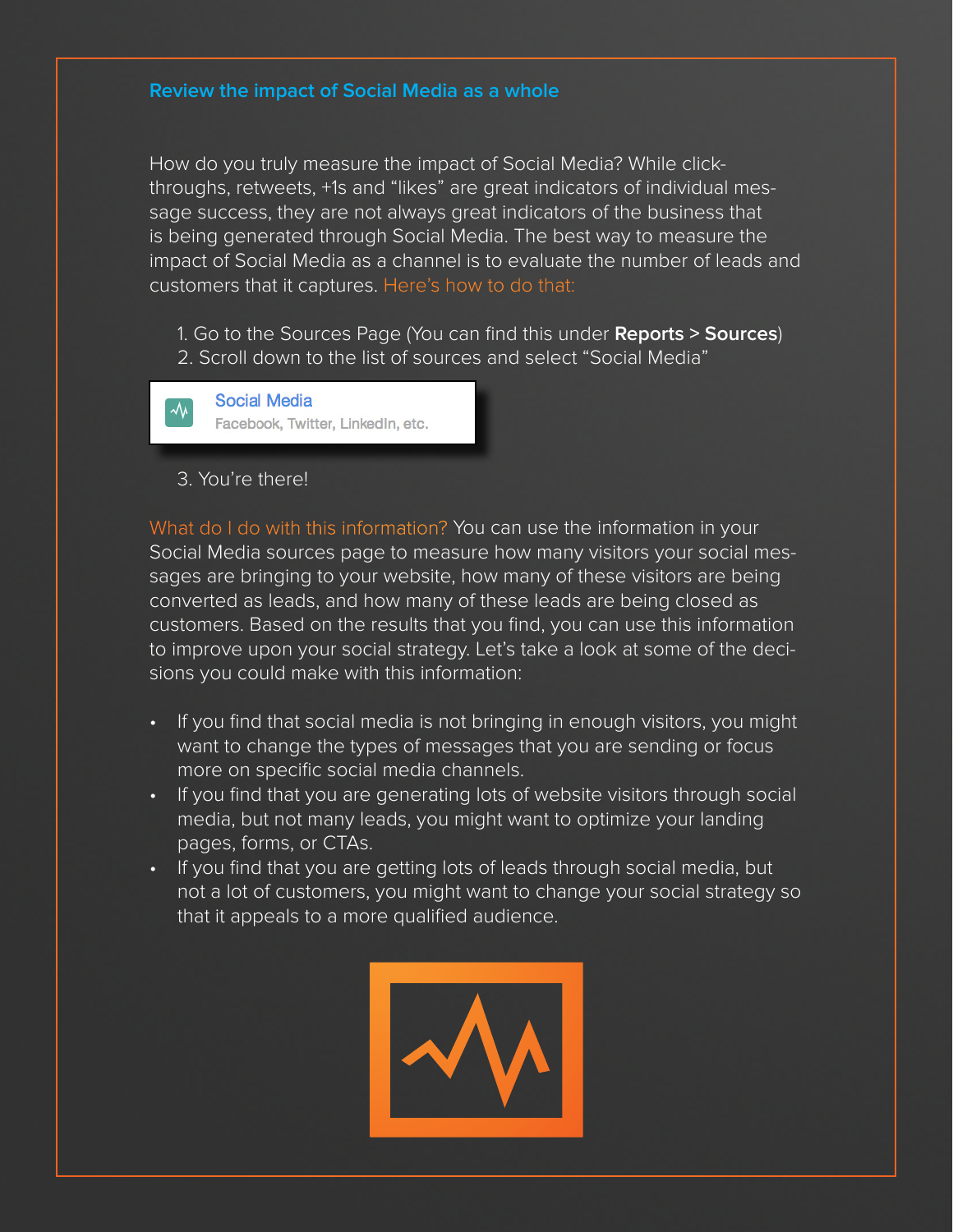#### **Review the impact of Social Media as a whole**

How do you truly measure the impact of Social Media? While clickthroughs, retweets, +1s and "likes" are great indicators of individual message success, they are not always great indicators of the business that is being generated through Social Media. The best way to measure the impact of Social Media as a channel is to evaluate the number of leads and customers that it captures. Here's how to do that:

1. Go to the Sources Page (You can find this under **Reports > Sources**) 2. Scroll down to the list of sources and select "Social Media"

**Social Media**  $\rightsquigarrow$ Facebook, Twitter, LinkedIn, etc.

3. You're there!

What do I do with this information? You can use the information in your Social Media sources page to measure how many visitors your social messages are bringing to your website, how many of these visitors are being converted as leads, and how many of these leads are being closed as customers. Based on the results that you find, you can use this information to improve upon your social strategy. Let's take a look at some of the decisions you could make with this information:

- If you find that social media is not bringing in enough visitors, you might want to change the types of messages that you are sending or focus more on specific social media channels.
- If you find that you are generating lots of website visitors through social media, but not many leads, you might want to optimize your landing pages, forms, or CTAs.
- If you find that you are getting lots of leads through social media, but not a lot of customers, you might want to change your social strategy so that it appeals to a more qualified audience.

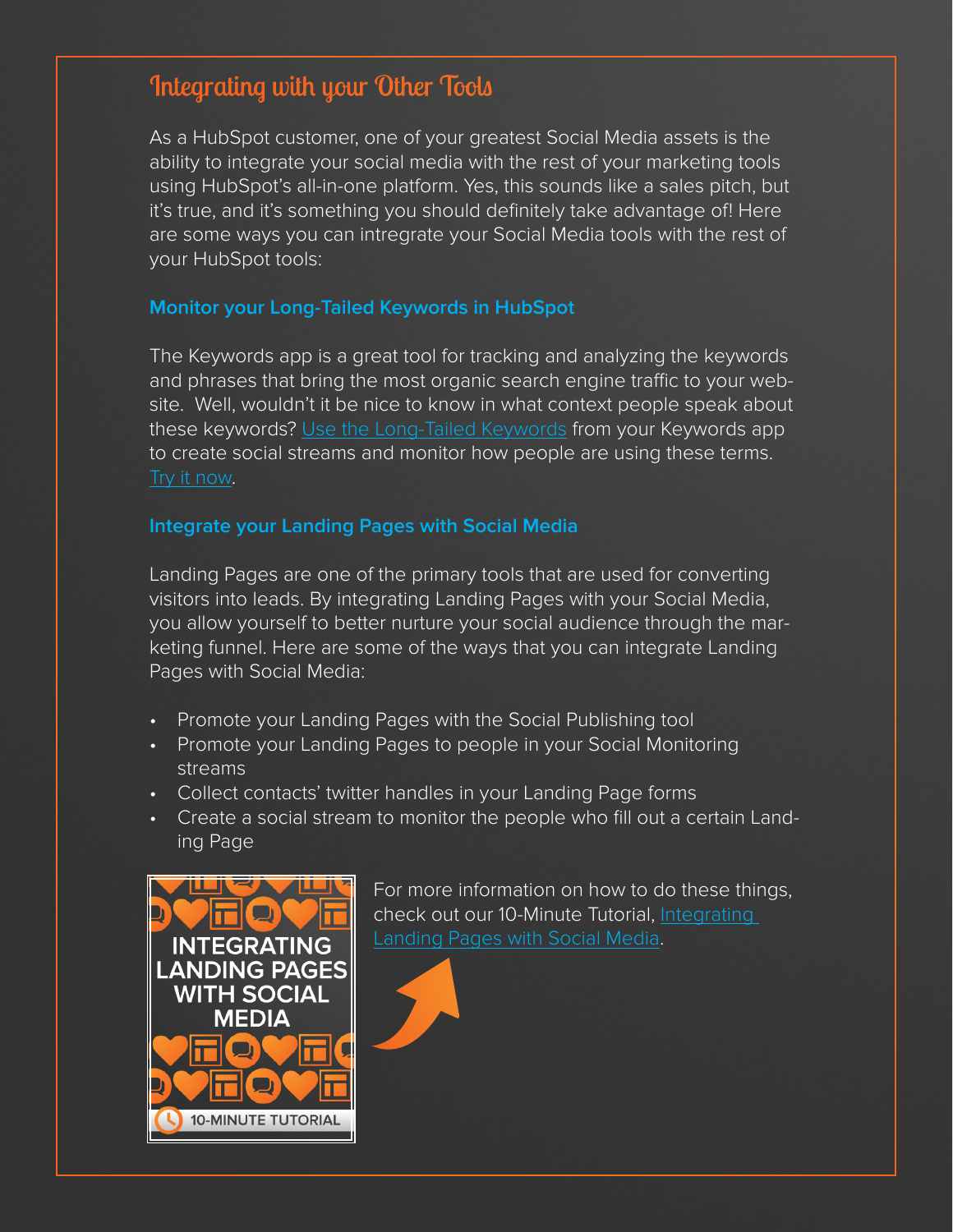# Integrating with your Other Tools

As a HubSpot customer, one of your greatest Social Media assets is the ability to integrate your social media with the rest of your marketing tools using HubSpot's all-in-one platform. Yes, this sounds like a sales pitch, but it's true, and it's something you should definitely take advantage of! Here are some ways you can intregrate your Social Media tools with the rest of your HubSpot tools:

### **Monitor your Long-Tailed Keywords in HubSpot**

The Keywords app is a great tool for tracking and analyzing the keywords and phrases that bring the most organic search engine traffic to your website. Well, wouldn't it be nice to know in what context people speak about these keywords? [Use the Long-Tailed Keywords](https://app.hubspot.com/l/keywords) from your Keywords app to create social streams and monitor how people are using these terms. [Try it now](https://app.hubspot.com/l/monitoring).

#### **Integrate your Landing Pages with Social Media**

Landing Pages are one of the primary tools that are used for converting visitors into leads. By integrating Landing Pages with your Social Media, you allow yourself to better nurture your social audience through the marketing funnel. Here are some of the ways that you can integrate Landing Pages with Social Media:

- Promote your Landing Pages with the Social Publishing tool
- Promote your Landing Pages to people in your Social Monitoring streams
- Collect contacts' twitter handles in your Landing Page forms
- Create a social stream to monitor the people who fill out a certain Landing Page



For more information on how to do these things, check out our 10-Minute Tutorial, Integrating [Landing Pages with Social Media.](http://cdn2.hubspot.net/hub/53/file-239827521-indd/10-Minute-Tutorial-Landing-Pages.indd)